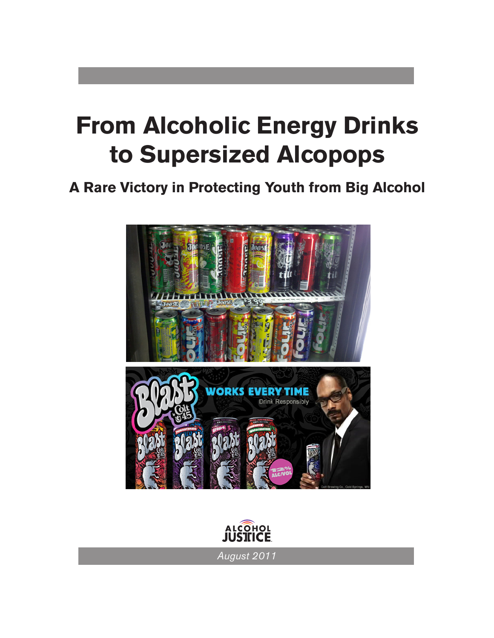# **From Alcoholic Energy Drinks to Supersized Alcopops**

# **A Rare Victory in Protecting Youth from Big Alcohol**





*August 2011*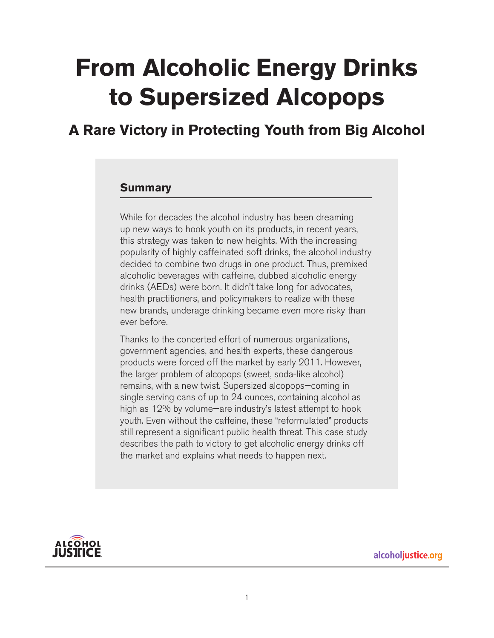# **From Alcoholic Energy Drinks to Supersized Alcopops**

**A Rare Victory in Protecting Youth from Big Alcohol**

#### **Summary**

While for decades the alcohol industry has been dreaming up new ways to hook youth on its products, in recent years, this strategy was taken to new heights. With the increasing popularity of highly caffeinated soft drinks, the alcohol industry decided to combine two drugs in one product. Thus, premixed alcoholic beverages with caffeine, dubbed alcoholic energy drinks (AEDs) were born. It didn't take long for advocates, health practitioners, and policymakers to realize with these new brands, underage drinking became even more risky than ever before.

Thanks to the concerted effort of numerous organizations, government agencies, and health experts, these dangerous products were forced off the market by early 2011. However, the larger problem of alcopops (sweet, soda-like alcohol) remains, with a new twist. Supersized alcopops—coming in single serving cans of up to 24 ounces, containing alcohol as high as 12% by volume—are industry's latest attempt to hook youth. Even without the caffeine, these "reformulated" products still represent a significant public health threat. This case study describes the path to victory to get alcoholic energy drinks off the market and explains what needs to happen next.



alcoholjustice.org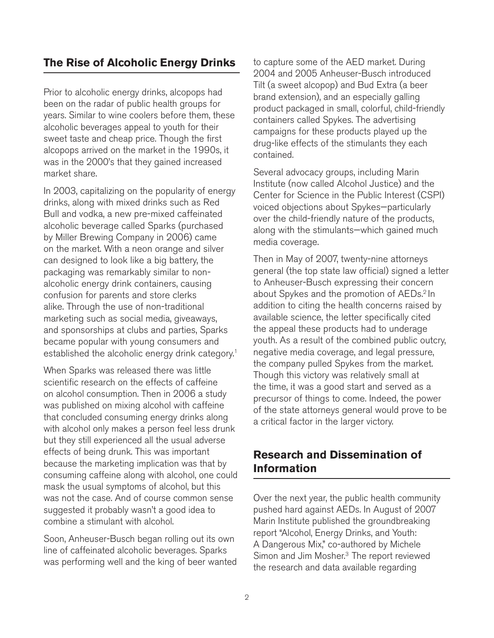### **The Rise of Alcoholic Energy Drinks**

Prior to alcoholic energy drinks, alcopops had been on the radar of public health groups for years. Similar to wine coolers before them, these alcoholic beverages appeal to youth for their sweet taste and cheap price. Though the first alcopops arrived on the market in the 1990s, it was in the 2000's that they gained increased market share.

In 2003, capitalizing on the popularity of energy drinks, along with mixed drinks such as Red Bull and vodka, a new pre-mixed caffeinated alcoholic beverage called Sparks (purchased by Miller Brewing Company in 2006) came on the market. With a neon orange and silver can designed to look like a big battery, the packaging was remarkably similar to nonalcoholic energy drink containers, causing confusion for parents and store clerks alike. Through the use of non-traditional marketing such as social media, giveaways, and sponsorships at clubs and parties, Sparks became popular with young consumers and established the alcoholic energy drink category.<sup>1</sup>

When Sparks was released there was little scientific research on the effects of caffeine on alcohol consumption. Then in 2006 a study was published on mixing alcohol with caffeine that concluded consuming energy drinks along with alcohol only makes a person feel less drunk but they still experienced all the usual adverse effects of being drunk. This was important because the marketing implication was that by consuming caffeine along with alcohol, one could mask the usual symptoms of alcohol, but this was not the case. And of course common sense suggested it probably wasn't a good idea to combine a stimulant with alcohol.

Soon, Anheuser-Busch began rolling out its own line of caffeinated alcoholic beverages. Sparks was performing well and the king of beer wanted to capture some of the AED market. During 2004 and 2005 Anheuser-Busch introduced Tilt (a sweet alcopop) and Bud Extra (a beer brand extension), and an especially galling product packaged in small, colorful, child-friendly containers called Spykes. The advertising campaigns for these products played up the drug-like effects of the stimulants they each contained.

Several advocacy groups, including Marin Institute (now called Alcohol Justice) and the Center for Science in the Public Interest (CSPI) voiced objections about Spykes—particularly over the child-friendly nature of the products, along with the stimulants—which gained much media coverage.

Then in May of 2007, twenty-nine attorneys general (the top state law official) signed a letter to Anheuser-Busch expressing their concern about Spykes and the promotion of AEDs.<sup>2</sup> In addition to citing the health concerns raised by available science, the letter specifically cited the appeal these products had to underage youth. As a result of the combined public outcry, negative media coverage, and legal pressure, the company pulled Spykes from the market. Though this victory was relatively small at the time, it was a good start and served as a precursor of things to come. Indeed, the power of the state attorneys general would prove to be a critical factor in the larger victory.

### **Research and Dissemination of Information**

Over the next year, the public health community pushed hard against AEDs. In August of 2007 Marin Institute published the groundbreaking report "Alcohol, Energy Drinks, and Youth: A Dangerous Mix," co-authored by Michele Simon and Jim Mosher.<sup>3</sup> The report reviewed the research and data available regarding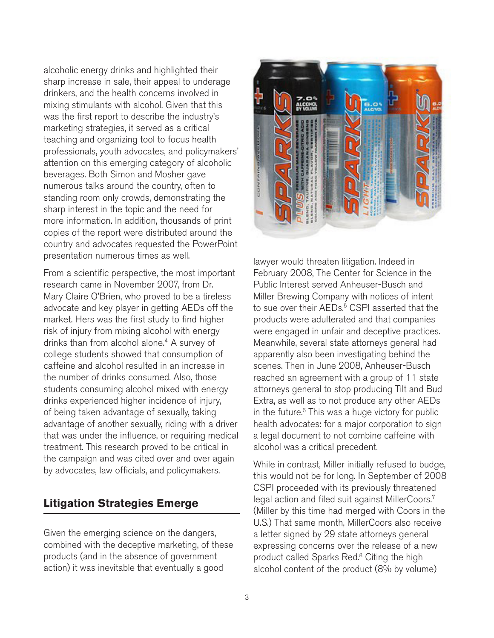alcoholic energy drinks and highlighted their sharp increase in sale, their appeal to underage drinkers, and the health concerns involved in mixing stimulants with alcohol. Given that this was the first report to describe the industry's marketing strategies, it served as a critical teaching and organizing tool to focus health professionals, youth advocates, and policymakers' attention on this emerging category of alcoholic beverages. Both Simon and Mosher gave numerous talks around the country, often to standing room only crowds, demonstrating the sharp interest in the topic and the need for more information. In addition, thousands of print copies of the report were distributed around the country and advocates requested the PowerPoint presentation numerous times as well.

From a scientific perspective, the most important research came in November 2007, from Dr. Mary Claire O'Brien, who proved to be a tireless advocate and key player in getting AEDs off the market. Hers was the first study to find higher risk of injury from mixing alcohol with energy drinks than from alcohol alone.<sup>4</sup> A survey of college students showed that consumption of caffeine and alcohol resulted in an increase in the number of drinks consumed. Also, those students consuming alcohol mixed with energy drinks experienced higher incidence of injury, of being taken advantage of sexually, taking advantage of another sexually, riding with a driver that was under the influence, or requiring medical treatment. This research proved to be critical in the campaign and was cited over and over again by advocates, law officials, and policymakers.

# **Litigation Strategies Emerge**

Given the emerging science on the dangers, combined with the deceptive marketing, of these products (and in the absence of government action) it was inevitable that eventually a good



lawyer would threaten litigation. Indeed in February 2008, The Center for Science in the Public Interest served Anheuser-Busch and Miller Brewing Company with notices of intent to sue over their AEDs.<sup>5</sup> CSPI asserted that the products were adulterated and that companies were engaged in unfair and deceptive practices. Meanwhile, several state attorneys general had apparently also been investigating behind the scenes. Then in June 2008, Anheuser-Busch reached an agreement with a group of 11 state attorneys general to stop producing Tilt and Bud Extra, as well as to not produce any other AEDs in the future. $6$  This was a huge victory for public health advocates: for a major corporation to sign a legal document to not combine caffeine with alcohol was a critical precedent.

While in contrast, Miller initially refused to budge, this would not be for long. In September of 2008 CSPI proceeded with its previously threatened legal action and filed suit against MillerCoors.<sup>7</sup> (Miller by this time had merged with Coors in the U.S.) That same month, MillerCoors also receive a letter signed by 29 state attorneys general expressing concerns over the release of a new product called Sparks Red.<sup>8</sup> Citing the high alcohol content of the product (8% by volume)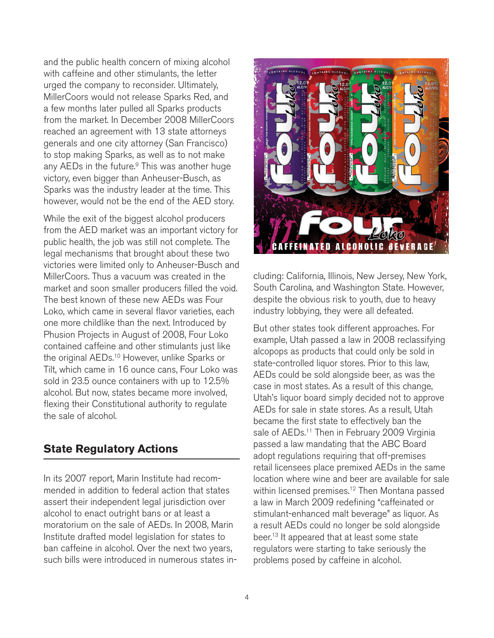and the public health concern of mixing alcohol with caffeine and other stimulants, the letter urged the company to reconsider. Ultimately, MillerCoors would not release Sparks Red, and a few months later pulled all Sparks products from the market. In December 2008 MillerCoors reached an agreement with 13 state attorneys generals and one city attorney (San Francisco) to stop making Sparks, as well as to not make any AEDs in the future.<sup>9</sup> This was another huge victory, even bigger than Anheuser-Busch, as Sparks was the industry leader at the time. This however, would not be the end of the AED story.

While the exit of the biggest alcohol producers from the AED market was an important victory for public health, the job was still not complete. The legal mechanisms that brought about these two victories were limited only to Anheuser-Busch and MillerCoors. Thus a vacuum was created in the market and soon smaller producers filled the void. The best known of these new AEDs was Four Loko, which came in several flavor varieties, each one more childlike than the next. Introduced by Phusion Projects in August of 2008, Four Loko contained caffeine and other stimulants just like the original AEDs.<sup>10</sup> However, unlike Sparks or Tilt, which came in 16 ounce cans, Four Loko was sold in 23.5 ounce containers with up to 12.5% alcohol. But now, states became more involved, flexing their Constitutional authority to regulate the sale of alcohol.

# **State Regulatory Actions**

In its 2007 report, Marin Institute had recommended in addition to federal action that states assert their independent legal jurisdiction over alcohol to enact outright bans or at least a moratorium on the sale of AEDs. In 2008, Marin Institute drafted model legislation for states to ban caffeine in alcohol. Over the next two years, such bills were introduced in numerous states in-



cluding: California, Illinois, New Jersey, New York, South Carolina, and Washington State. However, despite the obvious risk to youth, due to heavy industry lobbying, they were all defeated.

But other states took different approaches. For example, Utah passed a law in 2008 reclassifying alcopops as products that could only be sold in state-controlled liquor stores. Prior to this law, AEDs could be sold alongside beer, as was the case in most states. As a result of this change, Utah's liquor board simply decided not to approve AEDs for sale in state stores. As a result, Utah became the first state to effectively ban the sale of AEDs.<sup>11</sup> Then in February 2009 Virginia passed a law mandating that the ABC Board adopt regulations requiring that off-premises retail licensees place premixed AEDs in the same location where wine and beer are available for sale within licensed premises.<sup>12</sup> Then Montana passed a law in March 2009 redefining "caffeinated or stimulant-enhanced malt beverage" as liquor. As a result AEDs could no longer be sold alongside beer.<sup>13</sup> It appeared that at least some state regulators were starting to take seriously the problems posed by caffeine in alcohol.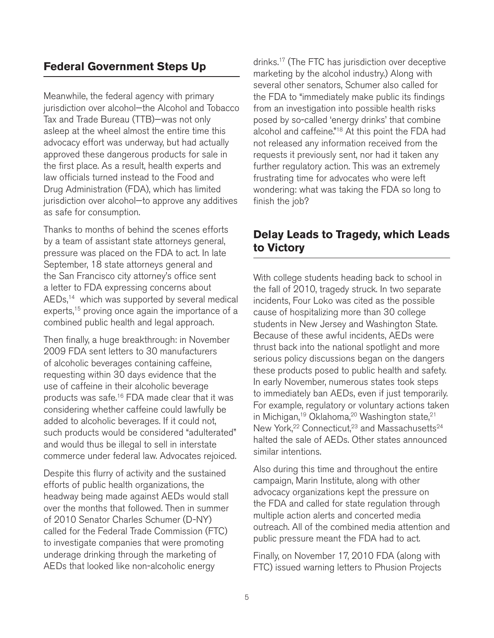#### **Federal Government Steps Up**

Meanwhile, the federal agency with primary jurisdiction over alcohol—the Alcohol and Tobacco Tax and Trade Bureau (TTB)—was not only asleep at the wheel almost the entire time this advocacy effort was underway, but had actually approved these dangerous products for sale in the first place. As a result, health experts and law officials turned instead to the Food and Drug Administration (FDA), which has limited jurisdiction over alcohol—to approve any additives as safe for consumption.

Thanks to months of behind the scenes efforts by a team of assistant state attorneys general, pressure was placed on the FDA to act. In late September, 18 state attorneys general and the San Francisco city attorney's office sent a letter to FDA expressing concerns about  $AEDs<sub>14</sub>$  which was supported by several medical experts,<sup>15</sup> proving once again the importance of a combined public health and legal approach.

Then finally, a huge breakthrough: in November 2009 FDA sent letters to 30 manufacturers of alcoholic beverages containing caffeine, requesting within 30 days evidence that the use of caffeine in their alcoholic beverage products was safe.16 FDA made clear that it was considering whether caffeine could lawfully be added to alcoholic beverages. If it could not, such products would be considered "adulterated" and would thus be illegal to sell in interstate commerce under federal law. Advocates rejoiced.

Despite this flurry of activity and the sustained efforts of public health organizations, the headway being made against AEDs would stall over the months that followed. Then in summer of 2010 Senator Charles Schumer (D-NY) called for the Federal Trade Commission (FTC) to investigate companies that were promoting underage drinking through the marketing of AEDs that looked like non-alcoholic energy

drinks.17 (The FTC has jurisdiction over deceptive marketing by the alcohol industry.) Along with several other senators, Schumer also called for the FDA to "immediately make public its findings from an investigation into possible health risks posed by so-called 'energy drinks' that combine alcohol and caffeine."<sup>18</sup> At this point the FDA had not released any information received from the requests it previously sent, nor had it taken any further regulatory action. This was an extremely frustrating time for advocates who were left wondering: what was taking the FDA so long to finish the job?

### **Delay Leads to Tragedy, which Leads to Victory**

With college students heading back to school in the fall of 2010, tragedy struck. In two separate incidents, Four Loko was cited as the possible cause of hospitalizing more than 30 college students in New Jersey and Washington State. Because of these awful incidents, AEDs were thrust back into the national spotlight and more serious policy discussions began on the dangers these products posed to public health and safety. In early November, numerous states took steps to immediately ban AEDs, even if just temporarily. For example, regulatory or voluntary actions taken in Michigan,<sup>19</sup> Oklahoma,<sup>20</sup> Washington state,<sup>21</sup> New York,<sup>22</sup> Connecticut,<sup>23</sup> and Massachusetts<sup>24</sup> halted the sale of AEDs. Other states announced similar intentions.

Also during this time and throughout the entire campaign, Marin Institute, along with other advocacy organizations kept the pressure on the FDA and called for state regulation through multiple action alerts and concerted media outreach. All of the combined media attention and public pressure meant the FDA had to act.

Finally, on November 17, 2010 FDA (along with FTC) issued warning letters to Phusion Projects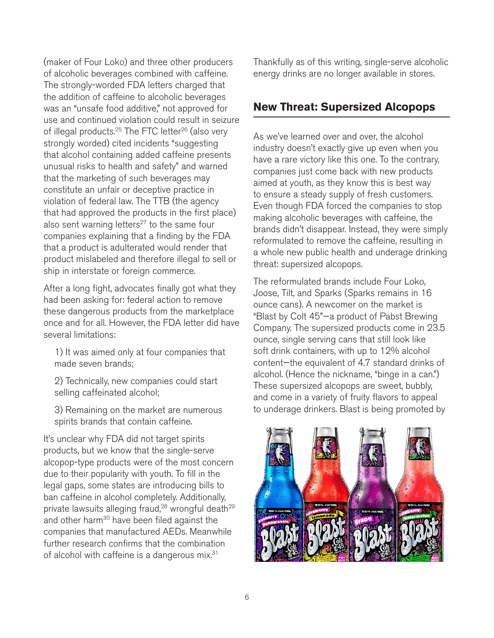(maker of Four Loko) and three other producers of alcoholic beverages combined with caffeine. The strongly-worded FDA letters charged that the addition of caffeine to alcoholic beverages was an "unsafe food additive," not approved for use and continued violation could result in seizure of illegal products.<sup>25</sup> The FTC letter<sup>26</sup> (also very strongly worded) cited incidents "suggesting that alcohol containing added caffeine presents unusual risks to health and safety" and warned that the marketing of such beverages may constitute an unfair or deceptive practice in violation of federal law. The TTB (the agency that had approved the products in the first place) also sent warning letters $27$  to the same four companies explaining that a finding by the FDA that a product is adulterated would render that product mislabeled and therefore illegal to sell or ship in interstate or foreign commerce.

After a long fight, advocates finally got what they had been asking for: federal action to remove these dangerous products from the marketplace once and for all. However, the FDA letter did have several limitations:

1) It was aimed only at four companies that made seven brands;

2) Technically, new companies could start selling caffeinated alcohol;

3) Remaining on the market are numerous spirits brands that contain caffeine.

It's unclear why FDA did not target spirits products, but we know that the single-serve alcopop-type products were of the most concern due to their popularity with youth. To fill in the legal gaps, some states are introducing bills to ban caffeine in alcohol completely. Additionally, private lawsuits alleging fraud,<sup>28</sup> wrongful death<sup>29</sup> and other harm<sup>30</sup> have been filed against the companies that manufactured AEDs. Meanwhile further research confirms that the combination of alcohol with caffeine is a dangerous mix.<sup>31</sup>

Thankfully as of this writing, single-serve alcoholic energy drinks are no longer available in stores.

#### **New Threat: Supersized Alcopops**

As we've learned over and over, the alcohol industry doesn't exactly give up even when you have a rare victory like this one. To the contrary, companies just come back with new products aimed at youth, as they know this is best way to ensure a steady supply of fresh customers. Even though FDA forced the companies to stop making alcoholic beverages with caffeine, the brands didn't disappear. Instead, they were simply reformulated to remove the caffeine, resulting in a whole new public health and underage drinking threat: supersized alcopops.

The reformulated brands include Four Loko, Joose, Tilt, and Sparks (Sparks remains in 16 ounce cans). A newcomer on the market is "Blast by Colt 45"—a product of Pabst Brewing Company. The supersized products come in 23.5 ounce, single serving cans that still look like soft drink containers, with up to 12% alcohol content—the equivalent of 4.7 standard drinks of alcohol. (Hence the nickname, "binge in a can.") These supersized alcopops are sweet, bubbly, and come in a variety of fruity flavors to appeal to underage drinkers. Blast is being promoted by

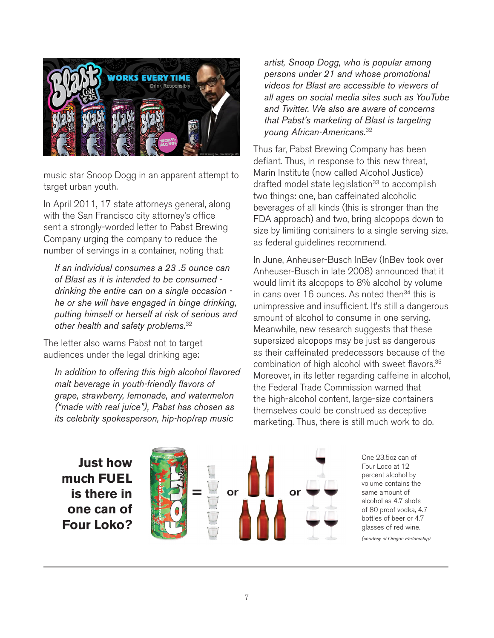

music star Snoop Dogg in an apparent attempt to target urban youth.

In April 2011, 17 state attorneys general, along with the San Francisco city attorney's office sent a strongly-worded letter to Pabst Brewing Company urging the company to reduce the number of servings in a container, noting that:

*If an individual consumes a 23 .5 ounce can of Blast as it is intended to be consumed drinking the entire can on a single occasion he or she will have engaged in binge drinking, putting himself or herself at risk of serious and other health and safety problems.*<sup>32</sup>

The letter also warns Pabst not to target audiences under the legal drinking age:

*In addition to offering this high alcohol flavored malt beverage in youth-friendly flavors of grape, strawberry, lemonade, and watermelon ("made with real juice"), Pabst has chosen as its celebrity spokesperson, hip-hop/rap music* 

*artist, Snoop Dogg, who is popular among persons under 21 and whose promotional videos for Blast are accessible to viewers of all ages on social media sites such as YouTube and Twitter. We also are aware of concerns that Pabst's marketing of Blast is targeting young African-Americans.*<sup>32</sup>

Thus far, Pabst Brewing Company has been defiant. Thus, in response to this new threat, Marin Institute (now called Alcohol Justice) drafted model state legislation<sup>33</sup> to accomplish two things: one, ban caffeinated alcoholic beverages of all kinds (this is stronger than the FDA approach) and two, bring alcopops down to size by limiting containers to a single serving size, as federal guidelines recommend.

In June, Anheuser-Busch InBev (InBev took over Anheuser-Busch in late 2008) announced that it would limit its alcopops to 8% alcohol by volume in cans over 16 ounces. As noted then<sup>34</sup> this is unimpressive and insufficient. It's still a dangerous amount of alcohol to consume in one serving. Meanwhile, new research suggests that these supersized alcopops may be just as dangerous as their caffeinated predecessors because of the combination of high alcohol with sweet flavors.<sup>35</sup> Moreover, in its letter regarding caffeine in alcohol, the Federal Trade Commission warned that the high-alcohol content, large-size containers themselves could be construed as deceptive marketing. Thus, there is still much work to do.

**Just how much FUEL is there in one can of Four Loko?**



One 23.5oz can of Four Loco at 12 percent alcohol by volume contains the same amount of alcohol as 4.7 shots of 80 proof vodka, 4.7 bottles of beer or 4.7 glasses of red wine. *(courtesy of Oregon Partnership)*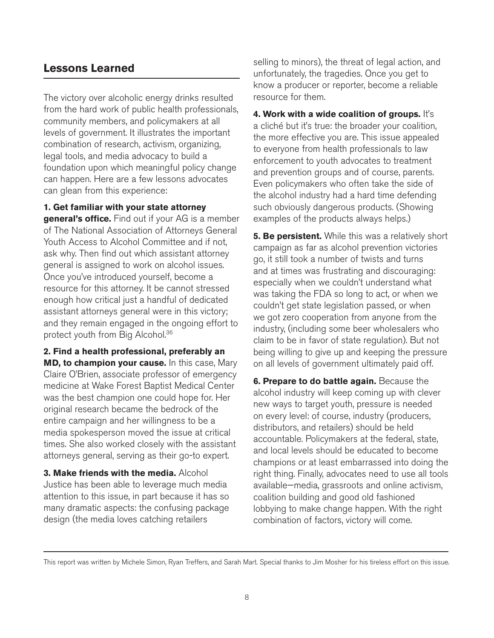### **Lessons Learned**

The victory over alcoholic energy drinks resulted from the hard work of public health professionals, community members, and policymakers at all levels of government. It illustrates the important combination of research, activism, organizing, legal tools, and media advocacy to build a foundation upon which meaningful policy change can happen. Here are a few lessons advocates can glean from this experience:

**1. Get familiar with your state attorney general's office.** Find out if your AG is a member of The National Association of Attorneys General Youth Access to Alcohol Committee and if not, ask why. Then find out which assistant attorney general is assigned to work on alcohol issues. Once you've introduced yourself, become a resource for this attorney. It be cannot stressed enough how critical just a handful of dedicated assistant attorneys general were in this victory; and they remain engaged in the ongoing effort to protect youth from Big Alcohol.36

**2. Find a health professional, preferably an MD, to champion your cause.** In this case, Mary Claire O'Brien, associate professor of emergency medicine at Wake Forest Baptist Medical Center was the best champion one could hope for. Her original research became the bedrock of the entire campaign and her willingness to be a media spokesperson moved the issue at critical times. She also worked closely with the assistant attorneys general, serving as their go-to expert.

**3. Make friends with the media.** Alcohol Justice has been able to leverage much media attention to this issue, in part because it has so many dramatic aspects: the confusing package design (the media loves catching retailers

selling to minors), the threat of legal action, and unfortunately, the tragedies. Once you get to know a producer or reporter, become a reliable resource for them.

**4. Work with a wide coalition of groups.** It's a cliché but it's true: the broader your coalition, the more effective you are. This issue appealed to everyone from health professionals to law enforcement to youth advocates to treatment and prevention groups and of course, parents. Even policymakers who often take the side of the alcohol industry had a hard time defending such obviously dangerous products. (Showing examples of the products always helps.)

**5. Be persistent.** While this was a relatively short campaign as far as alcohol prevention victories go, it still took a number of twists and turns and at times was frustrating and discouraging: especially when we couldn't understand what was taking the FDA so long to act, or when we couldn't get state legislation passed, or when we got zero cooperation from anyone from the industry, (including some beer wholesalers who claim to be in favor of state regulation). But not being willing to give up and keeping the pressure on all levels of government ultimately paid off.

**6. Prepare to do battle again.** Because the alcohol industry will keep coming up with clever new ways to target youth, pressure is needed on every level: of course, industry (producers, distributors, and retailers) should be held accountable. Policymakers at the federal, state, and local levels should be educated to become champions or at least embarrassed into doing the right thing. Finally, advocates need to use all tools available—media, grassroots and online activism, coalition building and good old fashioned lobbying to make change happen. With the right combination of factors, victory will come.

This report was written by Michele Simon, Ryan Treffers, and Sarah Mart. Special thanks to Jim Mosher for his tireless effort on this issue.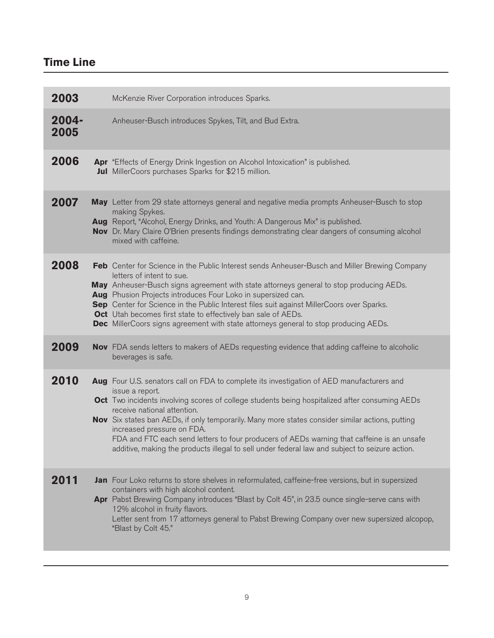# **Time Line**

| 2003             | McKenzie River Corporation introduces Sparks.                                                                                                                                                                                                                                                                                                                                                                                                                                                                                                                                   |
|------------------|---------------------------------------------------------------------------------------------------------------------------------------------------------------------------------------------------------------------------------------------------------------------------------------------------------------------------------------------------------------------------------------------------------------------------------------------------------------------------------------------------------------------------------------------------------------------------------|
| $2004 -$<br>2005 | Anheuser-Busch introduces Spykes, Tilt, and Bud Extra.                                                                                                                                                                                                                                                                                                                                                                                                                                                                                                                          |
| 2006             | Apr "Effects of Energy Drink Ingestion on Alcohol Intoxication" is published.<br>Jul MillerCoors purchases Sparks for \$215 million.                                                                                                                                                                                                                                                                                                                                                                                                                                            |
| 2007             | May Letter from 29 state attorneys general and negative media prompts Anheuser-Busch to stop<br>making Spykes.<br>Aug Report, "Alcohol, Energy Drinks, and Youth: A Dangerous Mix" is published.<br>Nov Dr. Mary Claire O'Brien presents findings demonstrating clear dangers of consuming alcohol<br>mixed with caffeine.                                                                                                                                                                                                                                                      |
| 2008             | Feb Center for Science in the Public Interest sends Anheuser-Busch and Miller Brewing Company<br>letters of intent to sue.<br>May Anheuser-Busch signs agreement with state attorneys general to stop producing AEDs.<br>Aug Phusion Projects introduces Four Loko in supersized can.<br>Sep Center for Science in the Public Interest files suit against MillerCoors over Sparks.<br>Oct Utah becomes first state to effectively ban sale of AEDs.<br>Dec MillerCoors signs agreement with state attorneys general to stop producing AEDs.                                     |
| 2009             | <b>Nov</b> FDA sends letters to makers of AEDs requesting evidence that adding caffeine to alcoholic<br>beverages is safe.                                                                                                                                                                                                                                                                                                                                                                                                                                                      |
| 2010             | Aug Four U.S. senators call on FDA to complete its investigation of AED manufacturers and<br>issue a report.<br>Oct Two incidents involving scores of college students being hospitalized after consuming AEDs<br>receive national attention.<br>Nov Six states ban AEDs, if only temporarily. Many more states consider similar actions, putting<br>increased pressure on FDA.<br>FDA and FTC each send letters to four producers of AEDs warning that caffeine is an unsafe<br>additive, making the products illegal to sell under federal law and subject to seizure action. |
| 2011             | Jan Four Loko returns to store shelves in reformulated, caffeine-free versions, but in supersized<br>containers with high alcohol content.<br>Apr Pabst Brewing Company introduces "Blast by Colt 45", in 23.5 ounce single-serve cans with<br>12% alcohol in fruity flavors.<br>Letter sent from 17 attorneys general to Pabst Brewing Company over new supersized alcopop,<br>"Blast by Colt 45."                                                                                                                                                                             |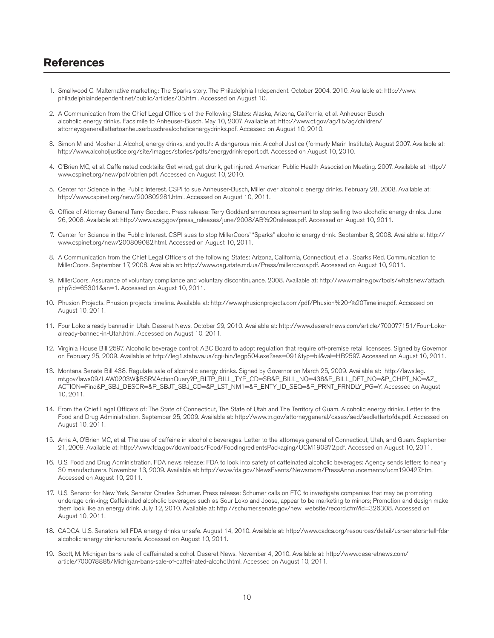#### **References**

- 1. Smallwood C. Malternative marketing: The Sparks story. The Philadelphia Independent. October 2004. 2010. Available at: http://www. philadelphiaindependent.net/public/articles/35.html. Accessed on August 10.
- 2. A Communication from the Chief Legal Officers of the Following States: Alaska, Arizona, California, et al. Anheuser Busch alcoholic energy drinks. Facsimile to Anheuser-Busch. May 10, 2007. Available at: http://www.ct.gov/ag/lib/ag/children/ attorneysgenerallettertoanheuserbuschrealcoholicenergydrinks.pdf. Accessed on August 10, 2010.
- 3. Simon M and Mosher J. Alcohol, energy drinks, and youth: A dangerous mix. Alcohol Justice (formerly Marin Institute). August 2007. Available at: http://www.alcoholjustice.org/site/images/stories/pdfs/energydrinkreport.pdf. Accessed on August 10, 2010.
- 4. O'Brien MC, et al. Caffeinated cocktails: Get wired, get drunk, get injured. American Public Health Association Meeting. 2007. Available at: http:// www.cspinet.org/new/pdf/obrien.pdf. Accessed on August 10, 2010.
- 5. Center for Science in the Public Interest. CSPI to sue Anheuser-Busch, Miller over alcoholic energy drinks. February 28, 2008. Available at: http://www.cspinet.org/new/200802281.html. Accessed on August 10, 2011.
- 6. Office of Attorney General Terry Goddard. Press release: Terry Goddard announces agreement to stop selling two alcoholic energy drinks. June 26, 2008. Available at: http://www.azag.gov/press\_releases/june/2008/AB%20release.pdf. Accessed on August 10, 2011.
- 7. Center for Science in the Public Interest. CSPI sues to stop MillerCoors' "Sparks" alcoholic energy drink. September 8, 2008. Available at http:// www.cspinet.org/new/200809082.html. Accessed on August 10, 2011.
- 8. A Communication from the Chief Legal Officers of the following States: Arizona, California, Connecticut, et al. Sparks Red. Communication to MillerCoors. September 17, 2008. Available at: http://www.oag.state.md.us/Press/millercoors.pdf. Accessed on August 10, 2011.
- 9. MillerCoors. Assurance of voluntary compliance and voluntary discontinuance. 2008. Available at: http://www.maine.gov/tools/whatsnew/attach. php?id=65301&an=1. Accessed on August 10, 2011.
- 10. Phusion Projects. Phusion projects timeline. Available at: http://www.phusionprojects.com/pdf/Phusion%20-%20Timeline.pdf. Accessed on August 10, 2011.
- 11. Four Loko already banned in Utah. Deseret News. October 29, 2010. Available at: http://www.deseretnews.com/article/700077151/Four-Loko already-banned-in-Utah.html. Accessed on August 10, 2011.
- 12. Virginia House Bill 2597. Alcoholic beverage control; ABC Board to adopt regulation that require off-premise retail licensees. Signed by Governor on February 25, 2009. Available at http://leg1.state.va.us/cgi-bin/legp504.exe?ses=091&typ=bil&val=HB2597. Accessed on August 10, 2011.
- 13. Montana Senate Bill 438. Regulate sale of alcoholic energy drinks. Signed by Governor on March 25, 2009. Available at: http://laws.leg. mt.gov/laws09/LAW0203W\$BSRV.ActionQuery?P\_BLTP\_BILL\_TYP\_CD=SB&P\_BILL\_NO=438&P\_BILL\_DFT\_NO=&P\_CHPT\_NO=&Z\_ ACTION=Find&P\_SBJ\_DESCR=&P\_SBJT\_SBJ\_CD=&P\_LST\_NM1=&P\_ENTY\_ID\_SEQ=&P\_PRNT\_FRNDLY\_PG=Y. Accessed on August 10, 2011.
- 14. From the Chief Legal Officers of: The State of Connecticut, The State of Utah and The Territory of Guam. Alcoholic energy drinks. Letter to the Food and Drug Administration. September 25, 2009. Available at: http://www.tn.gov/attorneygeneral/cases/aed/aedlettertofda.pdf. Accessed on August 10, 2011.
- 15. Arria A, O'Brien MC, et al. The use of caffeine in alcoholic beverages. Letter to the attorneys general of Connecticut, Utah, and Guam. September 21, 2009. Available at: http://www.fda.gov/downloads/Food/FoodIngredientsPackaging/UCM190372.pdf. Accessed on August 10, 2011.
- 16. U.S. Food and Drug Administration. FDA news release: FDA to look into safety of caffeinated alcoholic beverages: Agency sends letters to nearly 30 manufacturers. November 13, 2009. Available at: http://www.fda.gov/NewsEvents/Newsroom/PressAnnouncements/ucm190427.htm. Accessed on August 10, 2011.
- 17. U.S. Senator for New York, Senator Charles Schumer. Press release: Schumer calls on FTC to investigate companies that may be promoting underage drinking; Caffeinated alcoholic beverages such as Sour Loko and Joose, appear to be marketing to minors; Promotion and design make them look like an energy drink. July 12, 2010. Available at: http://schumer.senate.gov/new\_website/record.cfm?id=326308. Accessed on August 10, 2011.
- 18. CADCA. U.S. Senators tell FDA energy drinks unsafe. August 14, 2010. Available at: http://www.cadca.org/resources/detail/us-senators-tell-fda alcoholic-energy-drinks-unsafe. Accessed on August 10, 2011.
- 19. Scott, M. Michigan bans sale of caffeinated alcohol. Deseret News. November 4, 2010. Available at: http://www.deseretnews.com/ article/700078885/Michigan-bans-sale-of-caffeinated-alcohol.html. Accessed on August 10, 2011.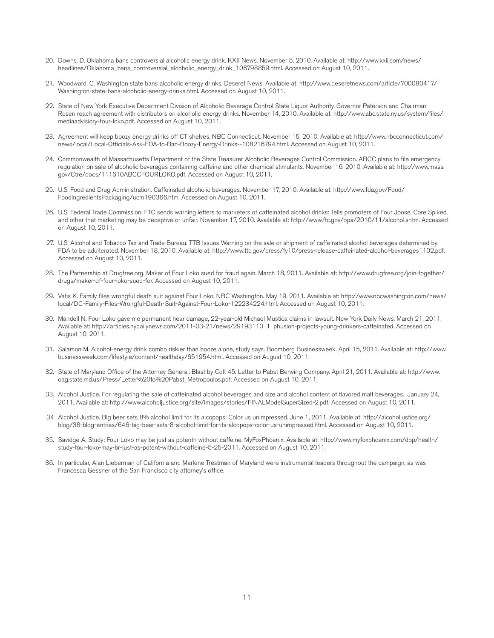- 20. Downs, D. Oklahoma bans controversial alcoholic energy drink. KXII News. November 5, 2010. Available at: http://www.kxii.com/news/ headlines/Oklahoma\_bans\_controversial\_alcoholic\_energy\_drink\_106798859.html. Accessed on August 10, 2011.
- 21. Woodward, C. Washington state bans alcoholic energy drinks. Deseret News. Available at: http://www.deseretnews.com/article/700080417/ Washington-state-bans-alcoholic-energy-drinks.html. Accessed on August 10, 2011.
- 22. State of New York Executive Department Division of Alcoholic Beverage Control State Liquor Authority. Governor Paterson and Chairman Rosen reach agreement with distributors on alcoholic energy drinks. November 14, 2010. Available at: http://www.abc.state.ny.us/system/files/ mediaadvisiory-four-loko.pdf. Accessed on August 10, 2011.
- 23. Agreement will keep boozy energy drinks off CT shelves. NBC Connecticut. November 15, 2010. Available at: http://www.nbcconnecticut.com/ news/local/Local-Officials-Ask-FDA-to-Ban-Boozy-Energy-Drinks--108216794.html. Accessed on August 10, 2011.
- 24. Commonwealth of Massachusetts Department of the State Treasurer Alcoholic Beverages Control Commission. ABCC plans to file emergency regulation on sale of alcoholic beverages containing caffeine and other chemical stimulants. November 16, 2010. Available at: http://www.mass. gov/Ctre/docs/111610ABCCFOURLOKO.pdf. Accessed on August 10, 2011.
- 25. U.S. Food and Drug Administration. Caffeinated alcoholic beverages. November 17, 2010. Available at: http://www.fda.gov/Food/ FoodIngredientsPackaging/ucm190366.htm. Accessed on August 10, 2011.
- 26. U.S. Federal Trade Commission. FTC sends warning letters to marketers of caffeinated alcohol drinks: Tells promoters of Four Joose, Core Spiked, and other that marketing may be deceptive or unfair. November 17, 2010. Available at: http://www.ftc.gov/opa/2010/11/alcohol.shtm. Accessed on August 10, 2011.
- 27. U.S. Alcohol and Tobacco Tax and Trade Bureau. TTB Issues Warning on the sale or shipment of caffeinated alcohol beverages determined by FDA to be adulterated. November 18, 2010. Available at: http://www.ttb.gov/press/fy10/press-release-caffeinated-alcohol-beverages1102.pdf. Accessed on August 10, 2011.
- 28. The Partnership at Drugfree.org. Maker of Four Loko sued for fraud again. March 18, 2011. Available at: http://www.drugfree.org/join-together/ drugs/maker-of-four-loko-sued-for. Accessed on August 10, 2011.
- 29. Vatis K. Family files wrongful death suit against Four Loko. NBC Washington. May 19, 2011. Available at: http://www.nbcwashington.com/news/ local/DC-Family-Files-Wrongful-Death-Suit-Against-Four-Loko-122234224.html. Accessed on August 10, 2011.
- 30. Mandell N. Four Loko gave me permanent hear damage, 22-year-old Michael Mustica claims in lawsuit. New York Daily News. March 21, 2011. Available at: http://articles.nydailynews.com/2011-03-21/news/29193110\_1\_phusion-projects-young-drinkers-caffeinated. Accessed on August 10, 2011.
- 31. Salamon M. Alcohol-energy drink combo riskier than booze alone, study says. Boomberg Businessweek. April 15, 2011. Available at: http://www. businessweek.com/lifestyle/content/healthday/651954.html. Accessed on August 10, 2011.
- 32. State of Maryland Office of the Attorney General. Blast by Colt 45. Letter to Pabst Berwing Company. April 21, 2011. Available at: http://www. oag.state.md.us/Press/Letter%20to%20Pabst\_Metropoulos.pdf. Accessed on August 10, 2011.
- 33. Alcohol Justice. For regulating the sale of caffeinated alcohol beverages and size and alcohol content of flavored malt beverages. January 24, 2011. Available at: http://www.alcoholjustice.org/site/images/stories/FINALModelSuperSized-2.pdf. Accessed on August 10, 2011.
- 34 Alcohol Justice. Big beer sets 8% alcohol limit for its alcopops: Color us unimpressed. June 1, 2011. Available at: http://alcoholjustice.org/ blog/38-blog-entries/646-big-beer-sets-8-alcohol-limit-for-its-alcopops-color-us-unimpressed.html. Accessed on August 10, 2011.
- 35. Savidge A. Study: Four Loko may be just as potentn without caffeine. MyFoxPhoenix. Available at: http://www.myfoxphoenix.com/dpp/health/ study-four-loko-may-br-just-as-potent-without-caffeine-5-25-2011. Accessed on August 10, 2011.
- 36. In particular, Alan Lieberman of California and Marlene Trestman of Maryland were instrumental leaders throughout the campaign, as was Francesca Gessner of the San Francisco city attorney's office.